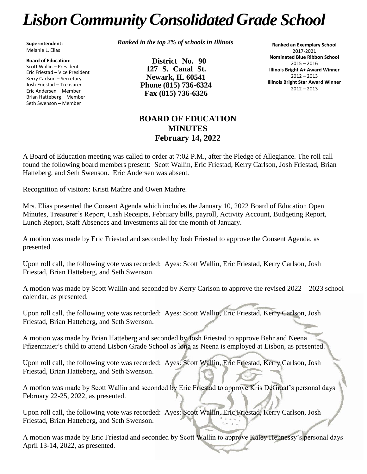# *LisbonCommunityConsolidated Grade School*

**Superintendent:** Melanie L. Elias

**Board of Education:** Scott Wallin – President Eric Friestad – Vice President Kerry Carlson – Secretary Josh Friestad – Treasurer Eric Andersen – Member Brian Hatteberg – Member Seth Swenson – Member

*Ranked in the top 2% of schools in Illinois*

**District No. 90 127 S. Canal St. Newark, IL 60541 Phone (815) 736-6324 Fax (815) 736-6326**

**Ranked an Exemplary School** 2017-2021 **Nominated Blue Ribbon School** 2015 – 2016 **Illinois Bright A+ Award Winner** 2012 – 2013 **Illinois Bright Star Award Winner** 2012 – 2013

# **BOARD OF EDUCATION MINUTES February 14, 2022**

A Board of Education meeting was called to order at 7:02 P.M., after the Pledge of Allegiance. The roll call found the following board members present: Scott Wallin, Eric Friestad, Kerry Carlson, Josh Friestad, Brian Hatteberg, and Seth Swenson. Eric Andersen was absent.

Recognition of visitors: Kristi Mathre and Owen Mathre.

Mrs. Elias presented the Consent Agenda which includes the January 10, 2022 Board of Education Open Minutes, Treasurer's Report, Cash Receipts, February bills, payroll, Activity Account, Budgeting Report, Lunch Report, Staff Absences and Investments all for the month of January.

A motion was made by Eric Friestad and seconded by Josh Friestad to approve the Consent Agenda, as presented.

Upon roll call, the following vote was recorded: Ayes: Scott Wallin, Eric Friestad, Kerry Carlson, Josh Friestad, Brian Hatteberg, and Seth Swenson.

A motion was made by Scott Wallin and seconded by Kerry Carlson to approve the revised 2022 – 2023 school calendar, as presented.

Upon roll call, the following vote was recorded: Ayes: Scott Wallin, Eric Friestad, Kerry Carlson, Josh Friestad, Brian Hatteberg, and Seth Swenson.

A motion was made by Brian Hatteberg and seconded by Josh Friestad to approve Behr and Neena Pfizenmaier's child to attend Lisbon Grade School as long as Neena is employed at Lisbon, as presented.

Upon roll call, the following vote was recorded: Ayes: Scott Wallin, Eric Friestad, Kerry Carlson, Josh Friestad, Brian Hatteberg, and Seth Swenson.

A motion was made by Scott Wallin and seconded by Eric Friestad to approve Kris DeGraaf's personal days February 22-25, 2022, as presented.

Upon roll call, the following vote was recorded: Ayes: Scott Wallin, Eric Friestad, Kerry Carlson, Josh Friestad, Brian Hatteberg, and Seth Swenson.

A motion was made by Eric Friestad and seconded by Scott Wallin to approve Kaley Hennessy's personal days April 13-14, 2022, as presented.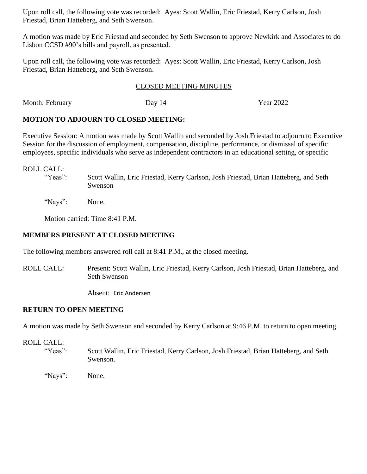Upon roll call, the following vote was recorded: Ayes: Scott Wallin, Eric Friestad, Kerry Carlson, Josh Friestad, Brian Hatteberg, and Seth Swenson.

A motion was made by Eric Friestad and seconded by Seth Swenson to approve Newkirk and Associates to do Lisbon CCSD #90's bills and payroll, as presented.

Upon roll call, the following vote was recorded: Ayes: Scott Wallin, Eric Friestad, Kerry Carlson, Josh Friestad, Brian Hatteberg, and Seth Swenson.

#### CLOSED MEETING MINUTES

Month: February Day 14 Year 2022

#### **MOTION TO ADJOURN TO CLOSED MEETING:**

Executive Session: A motion was made by Scott Wallin and seconded by Josh Friestad to adjourn to Executive Session for the discussion of employment, compensation, discipline, performance, or dismissal of specific employees, specific individuals who serve as independent contractors in an educational setting, or specific

#### ROLL CALL:

- "Yeas": Scott Wallin, Eric Friestad, Kerry Carlson, Josh Friestad, Brian Hatteberg, and Seth Swenson
- "Nays": None.

Motion carried: Time 8:41 P.M.

## **MEMBERS PRESENT AT CLOSED MEETING**

The following members answered roll call at 8:41 P.M., at the closed meeting.

ROLL CALL: Present: Scott Wallin, Eric Friestad, Kerry Carlson, Josh Friestad, Brian Hatteberg, and Seth Swenson

Absent: Eric Andersen

### **RETURN TO OPEN MEETING**

A motion was made by Seth Swenson and seconded by Kerry Carlson at 9:46 P.M. to return to open meeting.

#### ROLL CALL:

- "Yeas": Scott Wallin, Eric Friestad, Kerry Carlson, Josh Friestad, Brian Hatteberg, and Seth Swenson.
- "Nays": None.